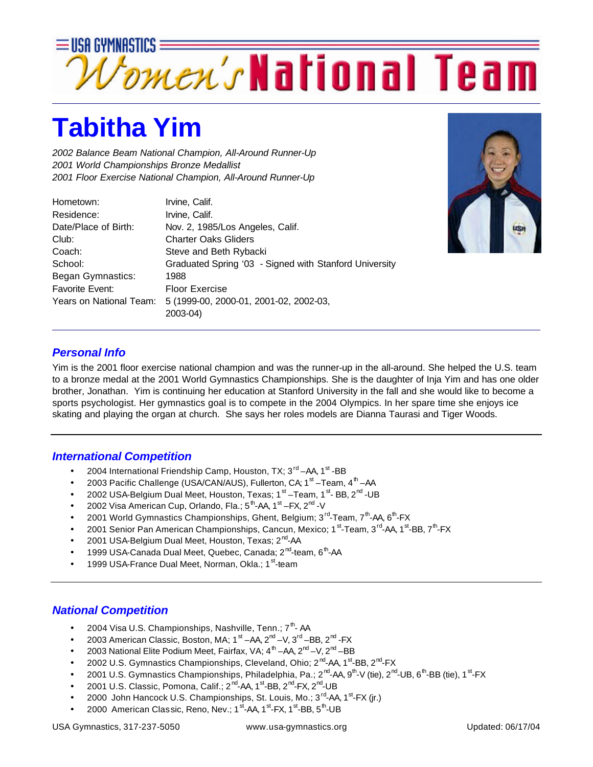

## **Tabitha Yim**

*2002 Balance Beam National Champion, All-Around Runner-Up 2001 World Championships Bronze Medallist 2001 Floor Exercise National Champion, All-Around Runner-Up*

| Hometown:               | Irvine, Calif.                                         |
|-------------------------|--------------------------------------------------------|
| Residence:              | Irvine, Calif.                                         |
| Date/Place of Birth:    | Nov. 2, 1985/Los Angeles, Calif.                       |
| Club:                   | <b>Charter Oaks Gliders</b>                            |
| Coach:                  | Steve and Beth Rybacki                                 |
| School:                 | Graduated Spring '03 - Signed with Stanford University |
| Began Gymnastics:       | 1988                                                   |
| Favorite Event:         | <b>Floor Exercise</b>                                  |
| Years on National Team: | 5 (1999-00, 2000-01, 2001-02, 2002-03,                 |
|                         | 2003-04)                                               |



## *Personal Info*

Yim is the 2001 floor exercise national champion and was the runner-up in the all-around. She helped the U.S. team to a bronze medal at the 2001 World Gymnastics Championships. She is the daughter of Inja Yim and has one older brother, Jonathan. Yim is continuing her education at Stanford University in the fall and she would like to become a sports psychologist. Her gymnastics goal is to compete in the 2004 Olympics. In her spare time she enjoys ice skating and playing the organ at church. She says her roles models are Dianna Taurasi and Tiger Woods.

## *International Competition*

- 2004 International Friendship Camp, Houston, TX; 3<sup>rd</sup> AA, 1<sup>st</sup> BB
- 2003 Pacific Challenge (USA/CAN/AUS), Fullerton, CA; 1<sup>st</sup> –Team, 4<sup>th</sup> –AA
- 2002 USA-Belgium Dual Meet, Houston, Texas; 1<sup>st</sup> –Team, 1<sup>st</sup>-BB, 2<sup>nd</sup> -UB
- 2002 Visa American Cup, Orlando, Fla.; 5<sup>th</sup>-AA, 1<sup>st</sup> –FX, 2<sup>nd</sup> -V
- 2001 World Gymnastics Championships, Ghent, Belgium; 3<sup>rd</sup>-Team, 7<sup>th</sup>-AA, 6<sup>th</sup>-FX
- 2001 Senior Pan American Championships, Cancun, Mexico; 1<sup>st</sup>-Team, 3<sup>rd</sup>-AA, 1<sup>st</sup>-BB, 7<sup>th</sup>-FX
- 2001 USA-Belgium Dual Meet, Houston, Texas; 2<sup>nd</sup>-AA
- 1999 USA-Canada Dual Meet, Quebec, Canada; 2<sup>nd</sup>-team, 6<sup>th</sup>-AA
- 1999 USA-France Dual Meet, Norman, Okla.; 1<sup>st</sup>-team

## *National Competition*

- 2004 Visa U.S. Championships, Nashville, Tenn.;  $7<sup>th</sup>$ -AA
- 2003 American Classic, Boston, MA;  $1^{st}$  AA,  $2^{nd}$  V,  $3^{rd}$  BB,  $2^{nd}$  FX
- 2003 National Elite Podium Meet, Fairfax, VA;  $4^{\text{th}}$  –AA,  $2^{\text{nd}}$  –V,  $2^{\text{nd}}$  –BB
- 2002 U.S. Gymnastics Championships, Cleveland, Ohio; 2<sup>nd</sup>-AA, 1<sup>st</sup>-BB, 2<sup>nd</sup>-FX
- 2001 U.S. Gymnastics Championships, Philadelphia, Pa.; 2<sup>nd</sup>-AA, 9<sup>th</sup>-V (tie), 2<sup>nd</sup>-UB, 6<sup>th</sup>-BB (tie), 1<sup>st</sup>-FX
- 2001 U.S. Classic, Pomona, Calif.; 2<sup>nd</sup>-AA, 1<sup>st</sup>-BB, 2<sup>nd</sup>-FX, 2<sup>nd</sup>-UB
- 2000 John Hancock U.S. Championships, St. Louis, Mo.; 3<sup>rd</sup>-AA, 1<sup>st</sup>-FX (jr.)
- 2000 American Classic, Reno, Nev.; 1<sup>st</sup>-AA, 1<sup>st</sup>-FX, 1<sup>st</sup>-BB, 5<sup>th</sup>-UB